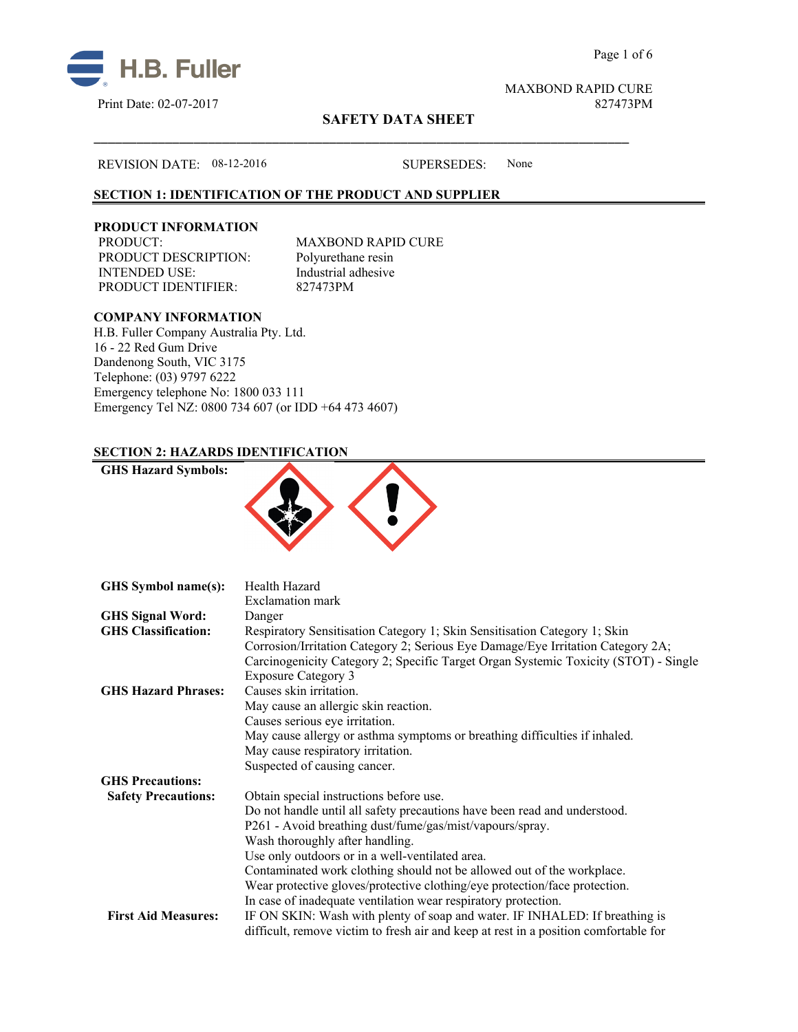



# **SAFETY DATA SHEET**

#### REVISION DATE: 08-12-2016 SUPERSEDES: None

# **SECTION 1: IDENTIFICATION OF THE PRODUCT AND SUPPLIER**

#### **PRODUCT INFORMATION**

PRODUCT: MAXBOND RAPID CURE PRODUCT DESCRIPTION: Polyurethane resin INTENDED USE:<br>
PRODUCT IDENTIFIER: 827473PM PRODUCT IDENTIFIER:

\_\_\_\_\_\_\_\_\_\_\_\_\_\_\_\_\_\_\_\_\_\_\_\_\_\_\_\_\_\_\_\_\_\_\_\_\_\_\_\_\_\_\_\_\_\_\_\_\_\_\_\_\_\_\_\_\_\_\_\_\_\_\_\_\_\_\_\_\_\_\_\_\_\_\_

# **COMPANY INFORMATION**

**GHS Hazard Symbols:**

H.B. Fuller Company Australia Pty. Ltd. 16 - 22 Red Gum Drive Dandenong South, VIC 3175 Telephone: (03) 9797 6222 Emergency telephone No: 1800 033 111 Emergency Tel NZ: 0800 734 607 (or IDD +64 473 4607)

## **SECTION 2: HAZARDS IDENTIFICATION**



| GHS Symbol name(s):        | Health Hazard                                                                        |
|----------------------------|--------------------------------------------------------------------------------------|
|                            | Exclamation mark                                                                     |
| <b>GHS Signal Word:</b>    | Danger                                                                               |
| <b>GHS Classification:</b> | Respiratory Sensitisation Category 1; Skin Sensitisation Category 1; Skin            |
|                            | Corrosion/Irritation Category 2; Serious Eye Damage/Eye Irritation Category 2A;      |
|                            | Carcinogenicity Category 2; Specific Target Organ Systemic Toxicity (STOT) - Single  |
|                            | <b>Exposure Category 3</b>                                                           |
| <b>GHS Hazard Phrases:</b> | Causes skin irritation.                                                              |
|                            | May cause an allergic skin reaction.                                                 |
|                            | Causes serious eye irritation.                                                       |
|                            | May cause allergy or asthma symptoms or breathing difficulties if inhaled.           |
|                            | May cause respiratory irritation.                                                    |
|                            | Suspected of causing cancer.                                                         |
| <b>GHS Precautions:</b>    |                                                                                      |
| <b>Safety Precautions:</b> | Obtain special instructions before use.                                              |
|                            | Do not handle until all safety precautions have been read and understood.            |
|                            | P261 - Avoid breathing dust/fume/gas/mist/vapours/spray.                             |
|                            | Wash thoroughly after handling.                                                      |
|                            | Use only outdoors or in a well-ventilated area.                                      |
|                            | Contaminated work clothing should not be allowed out of the workplace.               |
|                            | Wear protective gloves/protective clothing/eye protection/face protection.           |
|                            | In case of inadequate ventilation wear respiratory protection.                       |
| <b>First Aid Measures:</b> | IF ON SKIN: Wash with plenty of soap and water. IF INHALED: If breathing is          |
|                            | difficult, remove victim to fresh air and keep at rest in a position comfortable for |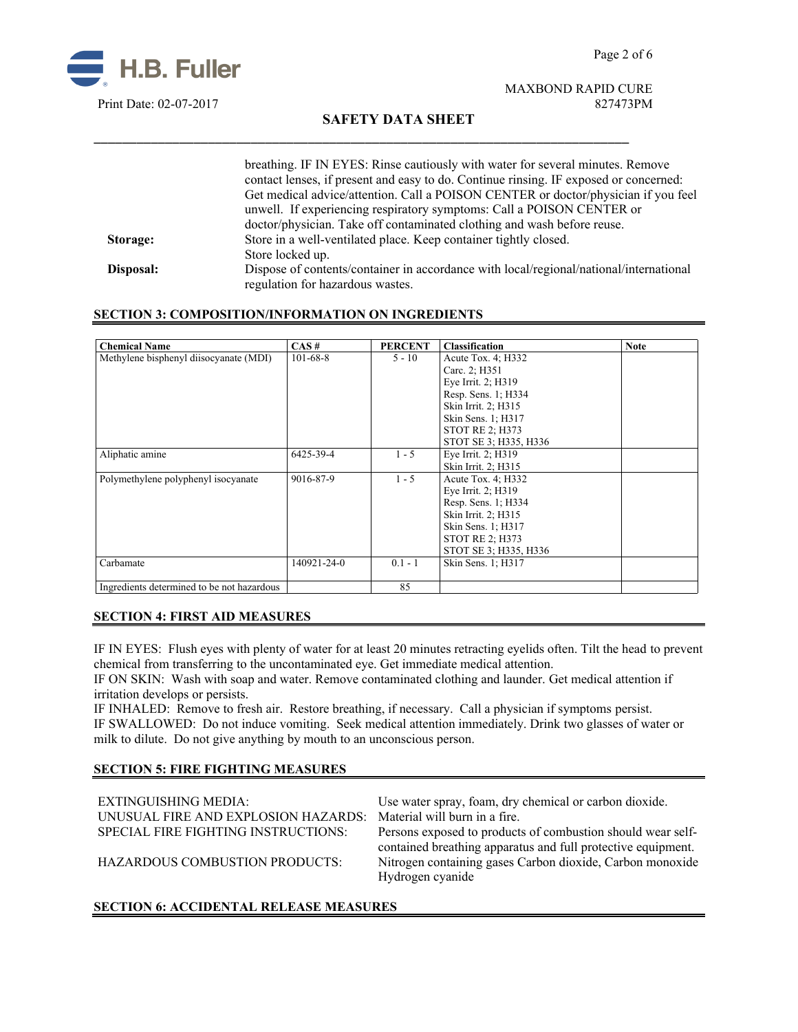

# **SAFETY DATA SHEET**

\_\_\_\_\_\_\_\_\_\_\_\_\_\_\_\_\_\_\_\_\_\_\_\_\_\_\_\_\_\_\_\_\_\_\_\_\_\_\_\_\_\_\_\_\_\_\_\_\_\_\_\_\_\_\_\_\_\_\_\_\_\_\_\_\_\_\_\_\_\_\_\_\_\_\_

|           | breathing. IF IN EYES: Rinse cautiously with water for several minutes. Remove         |
|-----------|----------------------------------------------------------------------------------------|
|           | contact lenses, if present and easy to do. Continue rinsing. IF exposed or concerned:  |
|           | Get medical advice/attention. Call a POISON CENTER or doctor/physician if you feel     |
|           | unwell. If experiencing respiratory symptoms: Call a POISON CENTER or                  |
|           | doctor/physician. Take off contaminated clothing and wash before reuse.                |
| Storage:  | Store in a well-ventilated place. Keep container tightly closed.                       |
|           | Store locked up.                                                                       |
| Disposal: | Dispose of contents/container in accordance with local/regional/national/international |
|           | regulation for hazardous wastes.                                                       |

#### **SECTION 3: COMPOSITION/INFORMATION ON INGREDIENTS**

| <b>Chemical Name</b>                       | CAS#           | <b>PERCENT</b> | <b>Classification</b>  | <b>Note</b> |
|--------------------------------------------|----------------|----------------|------------------------|-------------|
| Methylene bisphenyl diisocyanate (MDI)     | $101 - 68 - 8$ | $5 - 10$       | Acute Tox. 4; H332     |             |
|                                            |                |                | Carc. 2; H351          |             |
|                                            |                |                | Eye Irrit. 2; H319     |             |
|                                            |                |                | Resp. Sens. 1; H334    |             |
|                                            |                |                | Skin Irrit. 2; H315    |             |
|                                            |                |                | Skin Sens. 1; H317     |             |
|                                            |                |                | <b>STOT RE 2: H373</b> |             |
|                                            |                |                | STOT SE 3: H335, H336  |             |
| Aliphatic amine                            | 6425-39-4      | $1 - 5$        | Eye Irrit. 2; H319     |             |
|                                            |                |                | Skin Irrit. 2; H315    |             |
| Polymethylene polyphenyl isocyanate        | 9016-87-9      | $1 - 5$        | Acute Tox. 4; H332     |             |
|                                            |                |                | Eye Irrit. 2; H319     |             |
|                                            |                |                | Resp. Sens. 1; H334    |             |
|                                            |                |                | Skin Irrit. 2; H315    |             |
|                                            |                |                | Skin Sens. 1; H317     |             |
|                                            |                |                | <b>STOT RE 2: H373</b> |             |
|                                            |                |                | STOT SE 3: H335, H336  |             |
| Carbamate                                  | 140921-24-0    | $0.1 - 1$      | Skin Sens. 1; H317     |             |
|                                            |                |                |                        |             |
| Ingredients determined to be not hazardous |                | 85             |                        |             |

# **SECTION 4: FIRST AID MEASURES**

IF IN EYES: Flush eyes with plenty of water for at least 20 minutes retracting eyelids often. Tilt the head to prevent chemical from transferring to the uncontaminated eye. Get immediate medical attention.

IF ON SKIN: Wash with soap and water. Remove contaminated clothing and launder. Get medical attention if irritation develops or persists.

IF INHALED: Remove to fresh air. Restore breathing, if necessary. Call a physician if symptoms persist. IF SWALLOWED:Do not induce vomiting. Seek medical attention immediately. Drink two glasses of water or milk to dilute. Do not give anything by mouth to an unconscious person.

#### **SECTION 5: FIRE FIGHTING MEASURES**

| EXTINGUISHING MEDIA:                | Use water spray, foam, dry chemical or carbon dioxide.       |
|-------------------------------------|--------------------------------------------------------------|
| UNUSUAL FIRE AND EXPLOSION HAZARDS: | Material will burn in a fire.                                |
| SPECIAL FIRE FIGHTING INSTRUCTIONS: | Persons exposed to products of combustion should wear self-  |
|                                     | contained breathing apparatus and full protective equipment. |
| HAZARDOUS COMBUSTION PRODUCTS:      | Nitrogen containing gases Carbon dioxide, Carbon monoxide    |
|                                     | Hydrogen cyanide                                             |
|                                     |                                                              |

# **SECTION 6: ACCIDENTAL RELEASE MEASURES**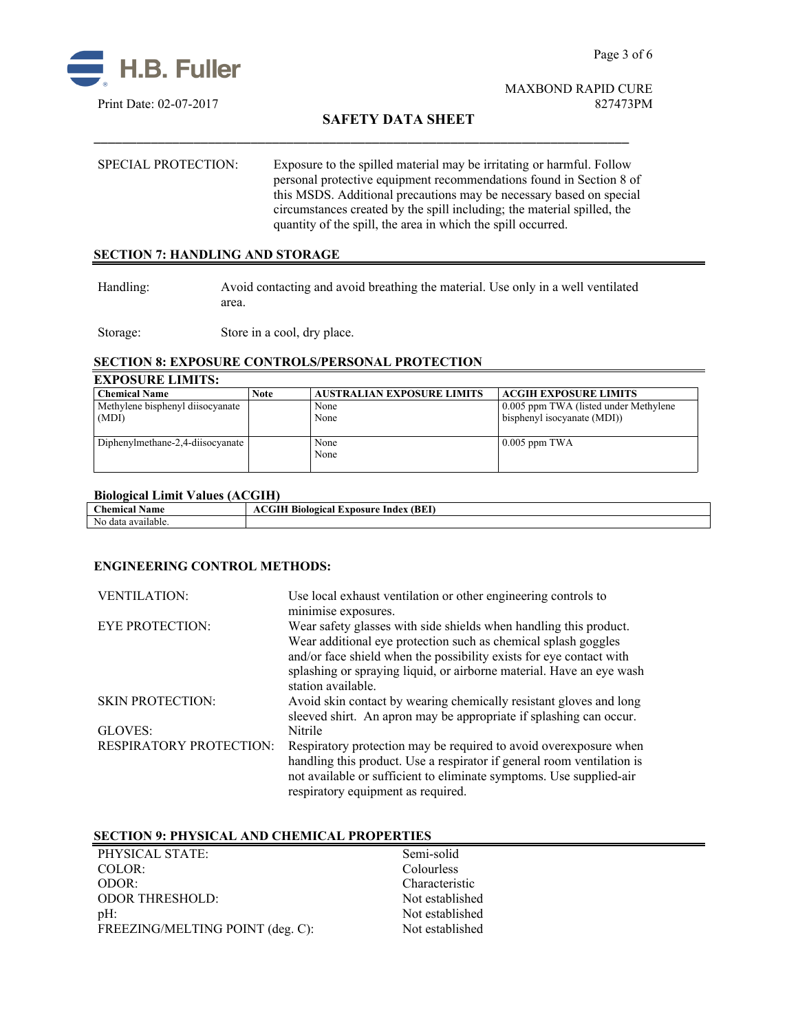

# **SAFETY DATA SHEET**

SPECIAL PROTECTION: Exposure to the spilled material may be irritating or harmful. Follow personal protective equipment recommendations found in Section 8 of this MSDS. Additional precautions may be necessary based on special circumstances created by the spill including; the material spilled, the quantity of the spill, the area in which the spill occurred.

\_\_\_\_\_\_\_\_\_\_\_\_\_\_\_\_\_\_\_\_\_\_\_\_\_\_\_\_\_\_\_\_\_\_\_\_\_\_\_\_\_\_\_\_\_\_\_\_\_\_\_\_\_\_\_\_\_\_\_\_\_\_\_\_\_\_\_\_\_\_\_\_\_\_\_

# **SECTION 7: HANDLING AND STORAGE**

Handling: Avoid contacting and avoid breathing the material. Use only in a well ventilated area.

Storage: Store in a cool, dry place.

# **SECTION 8: EXPOSURE CONTROLS/PERSONAL PROTECTION**

# **EXPOSURE LIMITS:**

| <b>Chemical Name</b>             | <b>Note</b> | <b>AUSTRALIAN EXPOSURE LIMITS</b> | <b>ACGIH EXPOSURE LIMITS</b>          |
|----------------------------------|-------------|-----------------------------------|---------------------------------------|
| Methylene bisphenyl diisocyanate |             | None                              | 0.005 ppm TWA (listed under Methylene |
| (MDI)                            |             | None                              | bisphenyl isocyanate (MDI))           |
|                                  |             |                                   |                                       |
| Diphenylmethane-2,4-diisocyanate |             | None                              | $0.005$ ppm TWA                       |
|                                  |             | None                              |                                       |
|                                  |             |                                   |                                       |

## **Biological Limit Values (ACGIH)**

| $\sim$<br><b>hemical</b><br>Name | (BEI<br>. L'XDOSUI <sup>.</sup><br>Index<br>'ogical |
|----------------------------------|-----------------------------------------------------|
| No data<br>available.            |                                                     |

## **ENGINEERING CONTROL METHODS:**

| <b>VENTILATION:</b>            | Use local exhaust ventilation or other engineering controls to<br>minimise exposures.                                                                                                                                                                                                                    |
|--------------------------------|----------------------------------------------------------------------------------------------------------------------------------------------------------------------------------------------------------------------------------------------------------------------------------------------------------|
| <b>EYE PROTECTION:</b>         | Wear safety glasses with side shields when handling this product.<br>Wear additional eye protection such as chemical splash goggles<br>and/or face shield when the possibility exists for eye contact with<br>splashing or spraying liquid, or airborne material. Have an eye wash<br>station available. |
| <b>SKIN PROTECTION:</b>        | Avoid skin contact by wearing chemically resistant gloves and long<br>sleeved shirt. An apron may be appropriate if splashing can occur.                                                                                                                                                                 |
| GLOVES:                        | Nitrile                                                                                                                                                                                                                                                                                                  |
| <b>RESPIRATORY PROTECTION:</b> | Respiratory protection may be required to avoid overexposure when<br>handling this product. Use a respirator if general room ventilation is<br>not available or sufficient to eliminate symptoms. Use supplied-air<br>respiratory equipment as required.                                                 |

#### **SECTION 9: PHYSICAL AND CHEMICAL PROPERTIES**

| PHYSICAL STATE:                  | Semi-solid      |
|----------------------------------|-----------------|
| $COLOR$ :                        | Colourless      |
| ODOR:                            | Characteristic  |
| <b>ODOR THRESHOLD:</b>           | Not established |
| $pH$ :                           | Not established |
| FREEZING/MELTING POINT (deg. C): | Not established |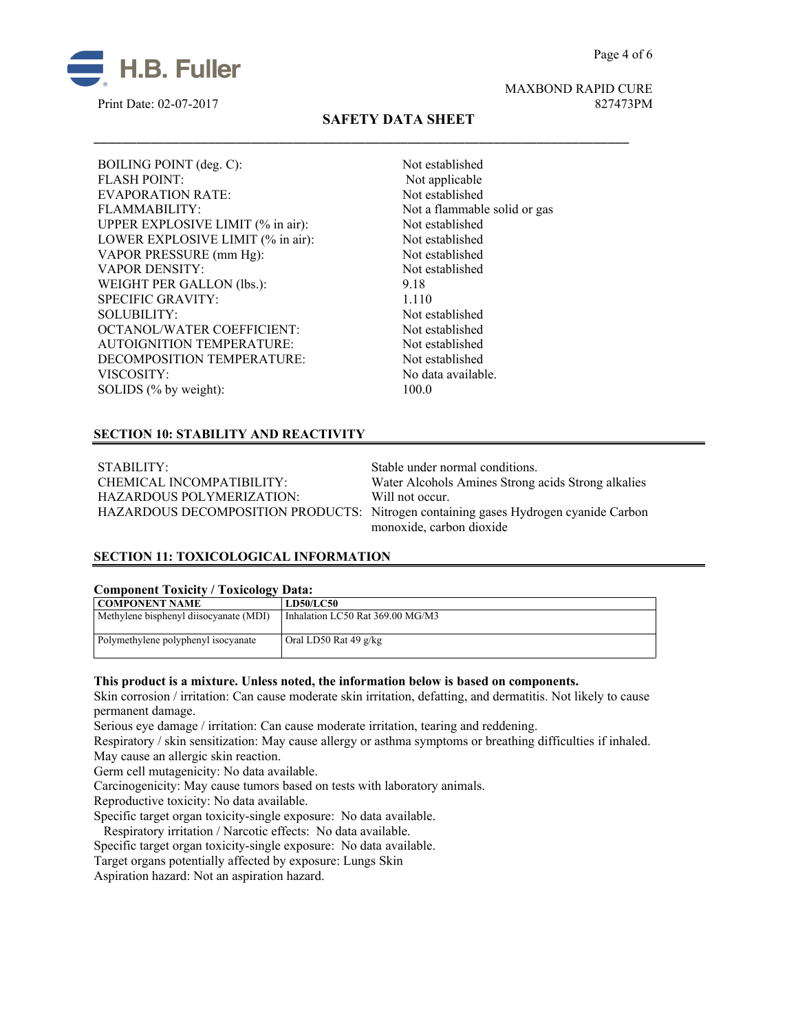Page 4 of 6



MAXBOND RAPID CURE Print Date: 02-07-2017 827473PM

# **SAFETY DATA SHEET**

\_\_\_\_\_\_\_\_\_\_\_\_\_\_\_\_\_\_\_\_\_\_\_\_\_\_\_\_\_\_\_\_\_\_\_\_\_\_\_\_\_\_\_\_\_\_\_\_\_\_\_\_\_\_\_\_\_\_\_\_\_\_\_\_\_\_\_\_\_\_\_\_\_\_\_

BOILING POINT (deg. C): Not established FLASH POINT: Not applicable EVAPORATION RATE: Not established FLAMMABILITY: Not a flammable solid or gas UPPER EXPLOSIVE LIMIT (% in air): Not established LOWER EXPLOSIVE LIMIT (% in air): Not established VAPOR PRESSURE (mm Hg): Not established VAPOR DENSITY: Not established WEIGHT PER GALLON (lbs.): 9.18 SPECIFIC GRAVITY: 1.110 SOLUBILITY: Not established OCTANOL/WATER COEFFICIENT: Not established AUTOIGNITION TEMPERATURE: Not established DECOMPOSITION TEMPERATURE: Not established VISCOSITY: No data available. SOLIDS (% by weight): 100.0

# **SECTION 10: STABILITY AND REACTIVITY**

STABILITY: Stable under normal conditions. HAZARDOUS POLYMERIZATION: Will not occur.

CHEMICAL INCOMPATIBILITY: Water Alcohols Amines Strong acids Strong alkalies HAZARDOUS DECOMPOSITION PRODUCTS: Nitrogen containing gases Hydrogen cyanide Carbon monoxide, carbon dioxide

## **SECTION 11: TOXICOLOGICAL INFORMATION**

#### **Component Toxicity / Toxicology Data:**

| <b>COMPONENT NAME</b>                  | <b>LD50/LC50</b>                 |
|----------------------------------------|----------------------------------|
| Methylene bisphenyl diisocyanate (MDI) | Inhalation LC50 Rat 369.00 MG/M3 |
|                                        |                                  |
| Polymethylene polyphenyl isocyanate    | Oral LD50 Rat 49 $g/kg$          |
|                                        |                                  |

#### **This product is a mixture. Unless noted, the information below is based on components.**

Skin corrosion / irritation: Can cause moderate skin irritation, defatting, and dermatitis. Not likely to cause permanent damage.

Serious eye damage / irritation: Can cause moderate irritation, tearing and reddening.

Respiratory / skin sensitization: May cause allergy or asthma symptoms or breathing difficulties if inhaled. May cause an allergic skin reaction.

Germ cell mutagenicity: No data available.

Carcinogenicity: May cause tumors based on tests with laboratory animals.

Reproductive toxicity: No data available.

Specific target organ toxicity-single exposure:No data available.

Respiratory irritation / Narcotic effects: No data available.

Specific target organ toxicity-single exposure:No data available.

Target organs potentially affected by exposure: Lungs Skin

Aspiration hazard: Not an aspiration hazard.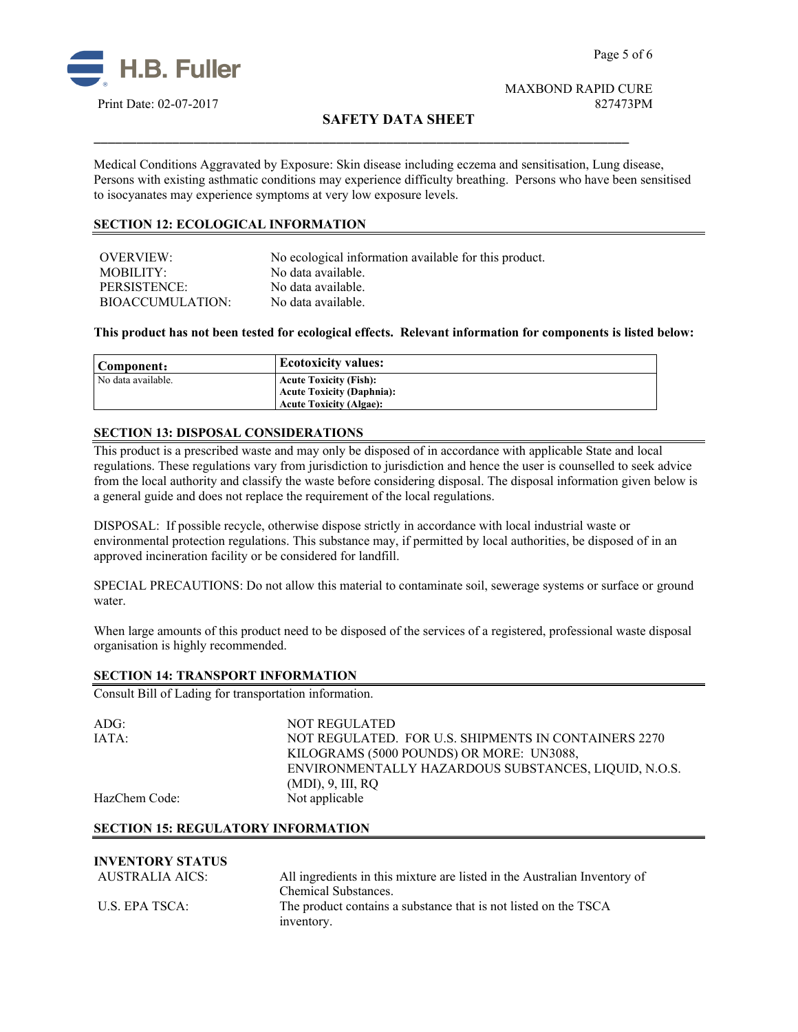

# **SAFETY DATA SHEET**

Medical Conditions Aggravated by Exposure: Skin disease including eczema and sensitisation, Lung disease, Persons with existing asthmatic conditions may experience difficulty breathing. Persons who have been sensitised to isocyanates may experience symptoms at very low exposure levels.

\_\_\_\_\_\_\_\_\_\_\_\_\_\_\_\_\_\_\_\_\_\_\_\_\_\_\_\_\_\_\_\_\_\_\_\_\_\_\_\_\_\_\_\_\_\_\_\_\_\_\_\_\_\_\_\_\_\_\_\_\_\_\_\_\_\_\_\_\_\_\_\_\_\_\_

## **SECTION 12: ECOLOGICAL INFORMATION**

| OVERVIEW:        | No ecological information available for this product. |
|------------------|-------------------------------------------------------|
| MOBILITY:        | No data available.                                    |
| PERSISTENCE:     | No data available.                                    |
| BIOACCUMULATION: | No data available.                                    |

**This product has not been tested for ecological effects. Relevant information for components is listed below:**

| Component:         | <b>Ecotoxicity values:</b>       |
|--------------------|----------------------------------|
| No data available. | <b>Acute Toxicity (Fish):</b>    |
|                    | <b>Acute Toxicity (Daphnia):</b> |
|                    | <b>Acute Toxicity (Algae):</b>   |

# **SECTION 13: DISPOSAL CONSIDERATIONS**

This product is a prescribed waste and may only be disposed of in accordance with applicable State and local regulations. These regulations vary from jurisdiction to jurisdiction and hence the user is counselled to seek advice from the local authority and classify the waste before considering disposal. The disposal information given below is a general guide and does not replace the requirement of the local regulations.

DISPOSAL: If possible recycle, otherwise dispose strictly in accordance with local industrial waste or environmental protection regulations. This substance may, if permitted by local authorities, be disposed of in an approved incineration facility or be considered for landfill.

SPECIAL PRECAUTIONS: Do not allow this material to contaminate soil, sewerage systems or surface or ground water.

When large amounts of this product need to be disposed of the services of a registered, professional waste disposal organisation is highly recommended.

#### **SECTION 14: TRANSPORT INFORMATION**

Consult Bill of Lading for transportation information.

| ADG:          | <b>NOT REGULATED</b>                                 |
|---------------|------------------------------------------------------|
|               |                                                      |
| IATA:         | NOT REGULATED. FOR U.S. SHIPMENTS IN CONTAINERS 2270 |
|               | KILOGRAMS (5000 POUNDS) OR MORE: UN3088,             |
|               | ENVIRONMENTALLY HAZARDOUS SUBSTANCES, LIQUID, N.O.S. |
|               | $(MDI)$ , 9, III, RQ                                 |
| HazChem Code: | Not applicable                                       |
|               |                                                      |

#### **SECTION 15: REGULATORY INFORMATION**

| <b>INVENTORY STATUS</b> |                                                                               |
|-------------------------|-------------------------------------------------------------------------------|
| AUSTRALIA AICS:         | All ingredients in this mixture are listed in the Australian Inventory of     |
|                         | Chemical Substances.                                                          |
| U.S. EPA TSCA:          | The product contains a substance that is not listed on the TSCA<br>inventory. |